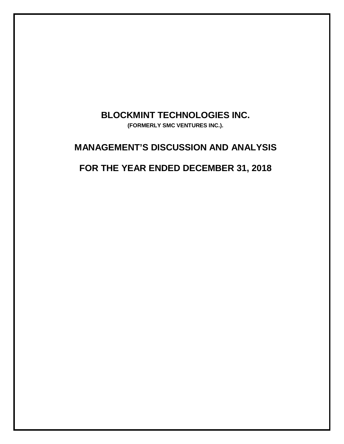# **BLOCKMINT TECHNOLOGIES INC.**

**(FORMERLY SMC VENTURES INC.).**

# **MANAGEMENT'S DISCUSSION AND ANALYSIS**

# **FOR THE YEAR ENDED DECEMBER 31, 2018**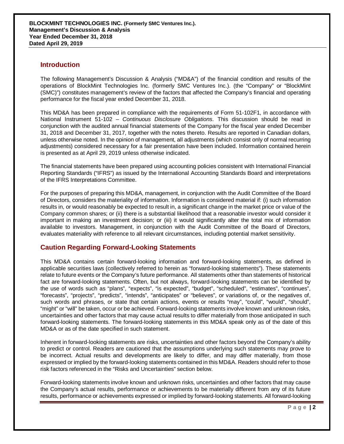## **Introduction**

The following Management's Discussion & Analysis ("MD&A") of the financial condition and results of the operations of BlockMint Technologies Inc. (formerly SMC Ventures Inc.). (the "Company" or "BlockMint (SMC)") constitutes management's review of the factors that affected the Company's financial and operating performance for the fiscal year ended December 31, 2018.

This MD&A has been prepared in compliance with the requirements of Form 51-102F1, in accordance with National Instrument 51-102 – *Continuous Disclosure Obligations*. This discussion should be read in conjunction with the audited annual financial statements of the Company for the fiscal year ended December 31, 2018 and December 31, 2017, together with the notes thereto. Results are reported in Canadian dollars, unless otherwise noted. In the opinion of management, all adjustments (which consist only of normal recurring adjustments) considered necessary for a fair presentation have been included. Information contained herein is presented as at April 29, 2019 unless otherwise indicated.

The financial statements have been prepared using accounting policies consistent with International Financial Reporting Standards ("IFRS") as issued by the International Accounting Standards Board and interpretations of the IFRS Interpretations Committee.

For the purposes of preparing this MD&A, management, in conjunction with the Audit Committee of the Board of Directors, considers the materiality of information. Information is considered material if: (i) such information results in, or would reasonably be expected to result in, a significant change in the market price or value of the Company common shares; or (ii) there is a substantial likelihood that a reasonable investor would consider it important in making an investment decision; or (iii) it would significantly alter the total mix of information available to investors. Management, in conjunction with the Audit Committee of the Board of Directors, evaluates materiality with reference to all relevant circumstances, including potential market sensitivity.

# **Caution Regarding Forward-Looking Statements**

This MD&A contains certain forward-looking information and forward-looking statements, as defined in applicable securities laws (collectively referred to herein as "forward-looking statements"). These statements relate to future events or the Company's future performance. All statements other than statements of historical fact are forward-looking statements. Often, but not always, forward-looking statements can be identified by the use of words such as "plans", "expects", "is expected", "budget", "scheduled", "estimates", "continues", "forecasts", "projects", "predicts", "intends", "anticipates" or "believes", or variations of, or the negatives of, such words and phrases, or state that certain actions, events or results "may", "could", "would", "should", "might" or "will" be taken, occur or be achieved. Forward-looking statements involve known and unknown risks, uncertainties and other factors that may cause actual results to differ materially from those anticipated in such forward-looking statements. The forward-looking statements in this MD&A speak only as of the date of this MD&A or as of the date specified in such statement.

Inherent in forward-looking statements are risks, uncertainties and other factors beyond the Company's ability to predict or control. Readers are cautioned that the assumptions underlying such statements may prove to be incorrect. Actual results and developments are likely to differ, and may differ materially, from those expressed or implied by the forward-looking statements contained in this MD&A. Readers should refer to those risk factors referenced in the "Risks and Uncertainties" section below.

Forward-looking statements involve known and unknown risks, uncertainties and other factors that may cause the Company's actual results, performance or achievements to be materially different from any of its future results, performance or achievements expressed or implied by forward-looking statements. All forward-looking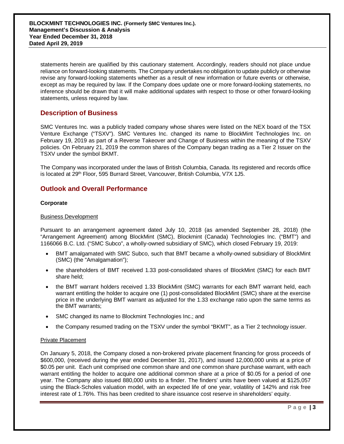statements herein are qualified by this cautionary statement. Accordingly, readers should not place undue reliance on forward-looking statements. The Company undertakes no obligation to update publicly or otherwise revise any forward-looking statements whether as a result of new information or future events or otherwise, except as may be required by law. If the Company does update one or more forward-looking statements, no inference should be drawn that it will make additional updates with respect to those or other forward-looking statements, unless required by law.

# **Description of Business**

SMC Ventures Inc. was a publicly traded company whose shares were listed on the NEX board of the TSX Venture Exchange ("TSXV"). SMC Ventures Inc. changed its name to BlockMint Technologies Inc. on February 19, 2019 as part of a Reverse Takeover and Change of Business within the meaning of the TSXV policies. On February 21, 2019 the common shares of the Company began trading as a Tier 2 Issuer on the TSXV under the symbol BKMT.

The Company was incorporated under the laws of British Columbia, Canada. Its registered and records office is located at 29<sup>th</sup> Floor, 595 Burrard Street, Vancouver, British Columbia, V7X 1J5.

# **Outlook and Overall Performance**

#### **Corporate**

#### Business Development

Pursuant to an arrangement agreement dated July 10, 2018 (as amended September 28, 2018) (the "Arrangement Agreement) among BlockMint (SMC), Blockmint (Canada) Technologies Inc. ("BMT") and 1166066 B.C. Ltd. ("SMC Subco", a wholly-owned subsidiary of SMC), which closed February 19, 2019:

- BMT amalgamated with SMC Subco, such that BMT became a wholly-owned subsidiary of BlockMint (SMC) (the "Amalgamation");
- the shareholders of BMT received 1.33 post-consolidated shares of BlockMint (SMC) for each BMT share held;
- the BMT warrant holders received 1.33 BlockMint (SMC) warrants for each BMT warrant held, each warrant entitling the holder to acquire one (1) post-consolidated BlockMint (SMC) share at the exercise price in the underlying BMT warrant as adjusted for the 1.33 exchange ratio upon the same terms as the BMT warrants;
- SMC changed its name to Blockmint Technologies Inc.; and
- the Company resumed trading on the TSXV under the symbol "BKMT", as a Tier 2 technology issuer.

#### Private Placement

On January 5, 2018, the Company closed a non-brokered private placement financing for gross proceeds of \$600,000, (received during the year ended December 31, 2017), and issued 12,000,000 units at a price of \$0.05 per unit. Each unit comprised one common share and one common share purchase warrant, with each warrant entitling the holder to acquire one additional common share at a price of \$0.05 for a period of one year. The Company also issued 880,000 units to a finder. The finders' units have been valued at \$125,057 using the Black-Scholes valuation model, with an expected life of one year, volatility of 142% and risk free interest rate of 1.76%. This has been credited to share issuance cost reserve in shareholders' equity.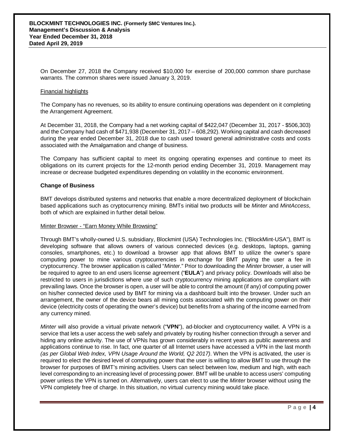On December 27, 2018 the Company received \$10,000 for exercise of 200,000 common share purchase warrants. The common shares were issued January 3, 2019.

#### Financial highlights

The Company has no revenues, so its ability to ensure continuing operations was dependent on it completing the Arrangement Agreement.

At December 31, 2018, the Company had a net working capital of \$422,047 (December 31, 2017 - \$506,303) and the Company had cash of \$471,938 (December 31, 2017 – 608,292). Working capital and cash decreased during the year ended December 31, 2018 due to cash used toward general administrative costs and costs associated with the Amalgamation and change of business.

The Company has sufficient capital to meet its ongoing operating expenses and continue to meet its obligations on its current projects for the 12-month period ending December 31, 2019. Management may increase or decrease budgeted expenditures depending on volatility in the economic environment.

#### **Change of Business**

BMT develops distributed systems and networks that enable a more decentralized deployment of blockchain based applications such as cryptocurrency mining. BMTs initial two products will be *Minter* and *MintAccess*, both of which are explained in further detail below.

#### Minter Browser - "Earn Money While Browsing"

Through BMT's wholly-owned U.S. subsidiary, Blockmint (USA) Technologies Inc. ("BlockMint-USA"), BMT is developing software that allows owners of various connected devices (e.g. desktops, laptops, gaming consoles, smartphones, etc.) to download a browser app that allows BMT to utilize the owner's spare computing power to mine various cryptocurrencies in exchange for BMT paying the user a fee in cryptocurrency. The browser application is called "*Minter*." Prior to downloading the *Minter* browser, a user will be required to agree to an end users license agreement ("**EULA**") and privacy policy. Downloads will also be restricted to users in jurisdictions where use of such cryptocurrency mining applications are compliant with prevailing laws. Once the browser is open, a user will be able to control the amount (if any) of computing power on his/her connected device used by BMT for mining via a dashboard built into the browser. Under such an arrangement, the owner of the device bears all mining costs associated with the computing power on their device (electricity costs of operating the owner's device) but benefits from a sharing of the income earned from any currency mined.

*Minter* will also provide a virtual private network ("**VPN**"), ad-blocker and cryptocurrency wallet. A VPN is a service that lets a user access the web safely and privately by routing his/her connection through a server and hiding any online activity. The use of VPNs has grown considerably in recent years as public awareness and applications continue to rise. In fact, one quarter of all Internet users have accessed a VPN in the last month *(as per Global Web Index, VPN Usage Around the World, Q2 2017)*. When the VPN is activated, the user is required to elect the desired level of computing power that the user is willing to allow BMT to use through the browser for purposes of BMT's mining activities. Users can select between low, medium and high, with each level corresponding to an increasing level of processing power. BMT will be unable to access users' computing power unless the VPN is turned on. Alternatively, users can elect to use the *Minter* browser without using the VPN completely free of charge. In this situation, no virtual currency mining would take place.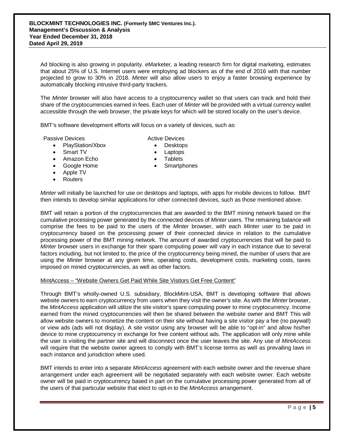Ad blocking is also growing in popularity. eMarketer, a leading research firm for digital marketing, estimates that about 25% of U.S. Internet users were employing ad blockers as of the end of 2016 with that number projected to grow to 30% in 2018. *Minter* will also allow users to enjoy a faster browsing experience by automatically blocking intrusive third-party trackers.

The *Minter* browser will also have access to a cryptocurrency wallet so that users can track and hold their share of the cryptocurrencies earned in fees. Each user of *Minter* will be provided with a virtual currency wallet accessible through the web browser, the private keys for which will be stored locally on the user's device.

BMT's software development efforts will focus on a variety of devices, such as:

Passive Devices

- PlayStation/Xbox
- Smart TV
- Amazon Echo
- Google Home
- Apple TV
- Routers
- Active Devices
	- Desktops
	- Laptops
	- **Tablets**
	- **Smartphones**

*Minter* will initially be launched for use on desktops and laptops, with apps for mobile devices to follow. BMT then intends to develop similar applications for other connected devices, such as those mentioned above.

BMT will retain a portion of the cryptocurrencies that are awarded to the BMT mining network based on the cumulative processing power generated by the connected devices of *Minter* users. The remaining balance will comprise the fees to be paid to the users of the *Minter* browser, with each *Minter* user to be paid in cryptocurrency based on the processing power of their connected device in relation to the cumulative processing power of the BMT mining network. The amount of awarded cryptocurrencies that will be paid to *Minter* browser users in exchange for their spare computing power will vary in each instance due to several factors including, but not limited to, the price of the cryptocurrency being mined, the number of users that are using the *Minter* browser at any given time, operating costs, development costs, marketing costs, taxes imposed on mined cryptocurrencies, as well as other factors.

MintAccess – "Website Owners Get Paid While Site Visitors Get Free Content"

Through BMT's wholly-owned U.S. subsidiary, BlockMint-USA, BMT is developing software that allows website owners to earn cryptocurrency from users when they visit the owner's site. As with the *Minter* browser, the *MintAccess* application will utilize the site visitor's spare computing power to mine cryptocurrency. Income earned from the mined cryptocurrencies will then be shared between the website owner and BMT This will allow website owners to monetize the content on their site without having a site visitor pay a fee (no paywall) or view ads (ads will not display). A site visitor using any browser will be able to "opt-in" and allow his/her device to mine cryptocurrency in exchange for free content without ads. The application will only mine while the user is visiting the partner site and will disconnect once the user leaves the site. Any use of *MintAccess* will require that the website owner agrees to comply with BMT's license terms as well as prevailing laws in each instance and jurisdiction where used.

BMT intends to enter into a separate *MintAccess* agreement with each website owner and the revenue share arrangement under each agreement will be negotiated separately with each website owner. Each website owner will be paid in cryptocurrency based in part on the cumulative processing power generated from all of the users of that particular website that elect to opt-in to the *MintAccess* arrangement.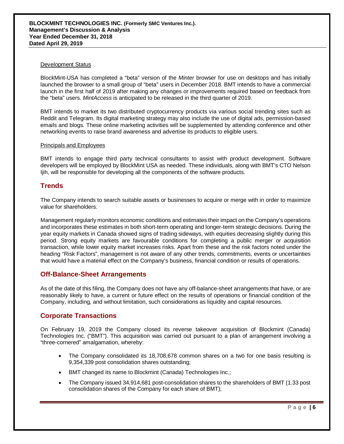#### Development Status

BlockMint-USA has completed a "beta" version of the *Minter* browser for use on desktops and has initially launched the browser to a small group of "beta" users in December 2018. BMT intends to have a commercial launch in the first half of 2019 after making any changes or improvements required based on feedback from the "beta" users. *MintAccess* is anticipated to be released in the third quarter of 2019.

BMT intends to market its two distributed cryptocurrency products via various social trending sites such as Reddit and Telegram. Its digital marketing strategy may also include the use of digital ads, permission-based emails and blogs. These online marketing activities will be supplemented by attending conference and other networking events to raise brand awareness and advertise its products to eligible users.

#### Principals and Employees

BMT intends to engage third party technical consultants to assist with product development. Software developers will be employed by BlockMint USA as needed. These individuals, along with BMT's CTO Nelson Ijih, will be responsible for developing all the components of the software products.

### **Trends**

The Company intends to search suitable assets or businesses to acquire or merge with in order to maximize value for shareholders.

Management regularly monitors economic conditions and estimates their impact on the Company's operations and incorporates these estimates in both short-term operating and longer-term strategic decisions. During the year equity markets in Canada showed signs of trading sideways, with equities decreasing slightly during this period. Strong equity markets are favourable conditions for completing a public merger or acquisition transaction, while lower equity market increases risks. Apart from these and the risk factors noted under the heading "Risk Factors", management is not aware of any other trends, commitments, events or uncertainties that would have a material effect on the Company's business, financial condition or results of operations.

## **Off-Balance-Sheet Arrangements**

As of the date of this filing, the Company does not have any off-balance-sheet arrangements that have, or are reasonably likely to have, a current or future effect on the results of operations or financial condition of the Company, including, and without limitation, such considerations as liquidity and capital resources.

## **Corporate Transactions**

On February 19, 2019 the Company closed its reverse takeover acquisition of Blockmint (Canada) Technologies Inc. ("BMT"). This acquisition was carried out pursuant to a plan of arrangement involving a "three-cornered" amalgamation, whereby:

- The Company consolidated its 18,708,678 common shares on a two for one basis resulting is 9,354,339 post consolidation shares outstanding;
- BMT changed its name to Blockmint (Canada) Technologies Inc.;
- The Company issued 34,914,681 post-consolidation shares to the shareholders of BMT (1.33 post consolidation shares of the Company for each share of BMT);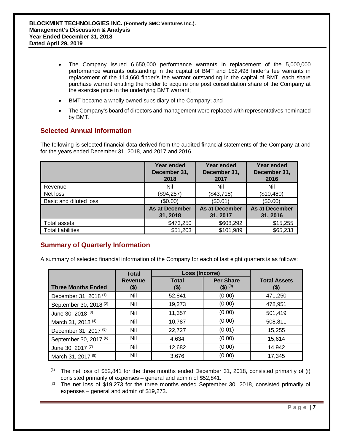- The Company issued 6,650,000 performance warrants in replacement of the 5,000,000 performance warrants outstanding in the capital of BMT and 152,498 finder's fee warrants in replacement of the 114,660 finder's fee warrant outstanding in the capital of BMT, each share purchase warrant entitling the holder to acquire one post consolidation share of the Company at the exercise price in the underlying BMT warrant;
- BMT became a wholly owned subsidiary of the Company; and
- The Company's board of directors and management were replaced with representatives nominated by BMT.

## **Selected Annual Information**

The following is selected financial data derived from the audited financial statements of the Company at and for the years ended December 31, 2018, and 2017 and 2016.

|                          | Year ended<br>December 31,<br>2018 | Year ended<br>December 31,<br>2017 | Year ended<br>December 31,<br>2016 |
|--------------------------|------------------------------------|------------------------------------|------------------------------------|
| Revenue                  | Nil                                | Nil                                | Nil                                |
| Net loss                 | (\$94,257)                         | (\$43,718)                         | (\$10,480)                         |
| Basic and diluted loss   | (\$0.00)                           | (\$0.01)                           | (\$0.00)                           |
|                          | As at December<br>31, 2018         | As at December<br>31, 2017         | As at December<br>31, 2016         |
| Total assets             | \$473,250                          | \$608,292                          | \$15,255                           |
| <b>Total liabilities</b> | \$51,203                           | \$101,989                          | \$65,233                           |

# **Summary of Quarterly Information**

A summary of selected financial information of the Company for each of last eight quarters is as follows:

|                                   | <b>Total</b>           | Loss (Income)        |                                         |                             |
|-----------------------------------|------------------------|----------------------|-----------------------------------------|-----------------------------|
| <b>Three Months Ended</b>         | <b>Revenue</b><br>(\$) | <b>Total</b><br>(\$) | <b>Per Share</b><br>(\$) <sup>(9)</sup> | <b>Total Assets</b><br>(\$) |
| December 31, 2018 <sup>(1)</sup>  | Nil                    | 52,841               | (0.00)                                  | 471,250                     |
| September 30, 2018 <sup>(2)</sup> | Nil                    | 19,273               | (0.00)                                  | 478,951                     |
| June 30, 2018 <sup>(3)</sup>      | Nil                    | 11,357               | (0.00)                                  | 501,419                     |
| March 31, 2018 <sup>(4)</sup>     | Nil                    | 10,787               | (0.00)                                  | 508,811                     |
| December 31, 2017 <sup>(5)</sup>  | Nil                    | 22,727               | (0.01)                                  | 15,255                      |
| September 30, 2017 <sup>(6)</sup> | Nil                    | 4,634                | (0.00)                                  | 15,614                      |
| June 30, 2017 <sup>(7)</sup>      | Nil                    | 12,682               | (0.00)                                  | 14,942                      |
| March 31, 2017 <sup>(8)</sup>     | Nil                    | 3,676                | (0.00)                                  | 17,345                      |

 $(1)$  The net loss of \$52,841 for the three months ended December 31, 2018, consisted primarily of (i) consisted primarily of expenses – general and admin of \$52,841.

 $(2)$  The net loss of \$19,273 for the three months ended September 30, 2018, consisted primarily of expenses – general and admin of \$19,273.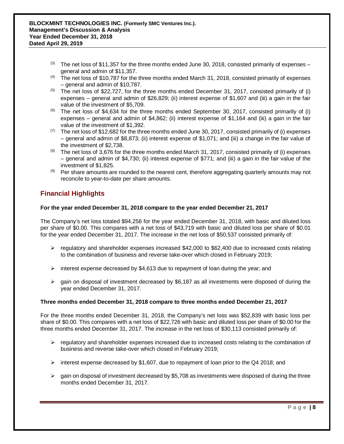- $^{(3)}$  The net loss of \$11,357 for the three months ended June 30, 2018, consisted primarily of expenses general and admin of \$11,357.
- (4) The net loss of \$10,787 for the three months ended March 31, 2018, consisted primarily of expenses – general and admin of \$10,787.
- $(5)$  The net loss of \$22,727, for the three months ended December 31, 2017, consisted primarily of (i) expenses – general and admin of \$26,829; (ii) interest expense of \$1,607 and (iii) a gain in the fair value of the investment of \$5,709.
- $(6)$  The net loss of \$4,634 for the three months ended September 30, 2017, consisted primarily of (i) expenses – general and admin of \$4,862; (ii) interest expense of \$1,164 and (iii) a gain in the fair value of the investment of \$1,392.
- $(7)$  The net loss of \$12,682 for the three months ended June 30, 2017, consisted primarily of (i) expenses – general and admin of \$8,873; (ii) interest expense of \$1,071; and (iii) a change in the fair value of the investment of \$2,738.
- $(8)$  The net loss of 3,676 for the three months ended March 31, 2017, consisted primarily of (i) expenses – general and admin of \$4,730; (ii) interest expense of \$771; and (iii) a gain in the fair value of the investment of \$1,825.
- (9) Per share amounts are rounded to the nearest cent, therefore aggregating quarterly amounts may not reconcile to year-to-date per share amounts.

# **Financial Highlights**

### **For the year ended December 31, 2018 compare to the year ended December 21, 2017**

The Company's net loss totaled \$94,256 for the year ended December 31, 2018, with basic and diluted loss per share of \$0.00. This compares with a net loss of \$43,719 with basic and diluted loss per share of \$0.01 for the year ended December 31, 2017. The increase in the net loss of \$50,537 consisted primarily of:

- $\triangleright$  regulatory and shareholder expenses increased \$42,000 to \$62,400 due to increased costs relating to the combination of business and reverse take-over which closed in February 2019;
- $\triangleright$  interest expense decreased by \$4,613 due to repayment of loan during the year; and
- $\geq$  gain on disposal of investment decreased by \$6,187 as all investments were disposed of during the year ended December 31, 2017.

#### **Three months ended December 31, 2018 compare to three months ended December 21, 2017**

For the three months ended December 31, 2018, the Company's net loss was \$52,839 with basic loss per share of \$0.00. This compares with a net loss of \$22,726 with basic and diluted loss per share of \$0.00 for the three months ended December 31, 2017. The increase in the net loss of \$30,113 consisted primarily of:

- $\triangleright$  regulatory and shareholder expenses increased due to increased costs relating to the combination of business and reverse take-over which closed in February 2019;
- $\triangleright$  interest expense decreased by \$1,607, due to repayment of loan prior to the Q4 2018; and
- $\triangleright$  gain on disposal of investment decreased by \$5,708 as investments were disposed of during the three months ended December 31, 2017.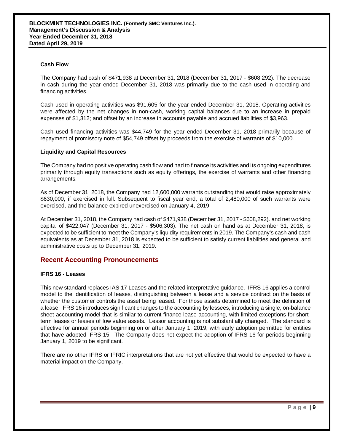#### **Cash Flow**

The Company had cash of \$471,938 at December 31, 2018 (December 31, 2017 - \$608,292). The decrease in cash during the year ended December 31, 2018 was primarily due to the cash used in operating and financing activities.

Cash used in operating activities was \$91,605 for the year ended December 31, 2018. Operating activities were affected by the net changes in non-cash, working capital balances due to an increase in prepaid expenses of \$1,312; and offset by an increase in accounts payable and accrued liabilities of \$3,963.

Cash used financing activities was \$44,749 for the year ended December 31, 2018 primarily because of repayment of promissory note of \$54,749 offset by proceeds from the exercise of warrants of \$10,000.

#### **Liquidity and Capital Resources**

The Company had no positive operating cash flow and had to finance its activities and its ongoing expenditures primarily through equity transactions such as equity offerings, the exercise of warrants and other financing arrangements.

As of December 31, 2018, the Company had 12,600,000 warrants outstanding that would raise approximately \$630,000, if exercised in full. Subsequent to fiscal year end, a total of 2,480,000 of such warrants were exercised, and the balance expired unexercised on January 4, 2019.

At December 31, 2018, the Company had cash of \$471,938 (December 31, 2017 - \$608,292). and net working capital of \$422,047 (December 31, 2017 - \$506,303). The net cash on hand as at December 31, 2018, is expected to be sufficient to meet the Company's liquidity requirements in 2019. The Company's cash and cash equivalents as at December 31, 2018 is expected to be sufficient to satisfy current liabilities and general and administrative costs up to December 31, 2019.

#### **Recent Accounting Pronouncements**

#### **IFRS 16 - Leases**

This new standard replaces IAS 17 Leases and the related interpretative guidance. IFRS 16 applies a control model to the identification of leases, distinguishing between a lease and a service contract on the basis of whether the customer controls the asset being leased. For those assets determined to meet the definition of a lease, IFRS 16 introduces significant changes to the accounting by lessees, introducing a single, on-balance sheet accounting model that is similar to current finance lease accounting, with limited exceptions for shortterm leases or leases of low value assets. Lessor accounting is not substantially changed. The standard is effective for annual periods beginning on or after January 1, 2019, with early adoption permitted for entities that have adopted IFRS 15. The Company does not expect the adoption of IFRS 16 for periods beginning January 1, 2019 to be significant.

There are no other IFRS or IFRIC interpretations that are not yet effective that would be expected to have a material impact on the Company.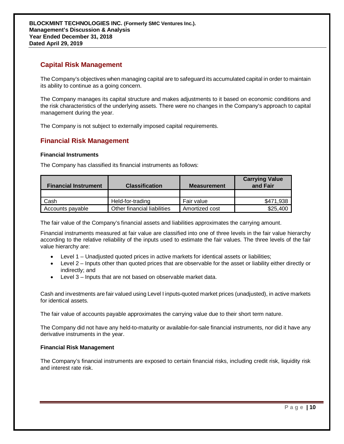# **Capital Risk Management**

The Company's objectives when managing capital are to safeguard its accumulated capital in order to maintain its ability to continue as a going concern.

The Company manages its capital structure and makes adjustments to it based on economic conditions and the risk characteristics of the underlying assets. There were no changes in the Company's approach to capital management during the year.

The Company is not subject to externally imposed capital requirements.

# **Financial Risk Management**

#### **Financial Instruments**

The Company has classified its financial instruments as follows:

| <b>Financial Instrument</b> | <b>Classification</b>       | <b>Measurement</b> | <b>Carrying Value</b><br>and Fair |
|-----------------------------|-----------------------------|--------------------|-----------------------------------|
|                             |                             |                    |                                   |
| Cash                        | Held-for-trading            | Fair value         | \$471,938                         |
| Accounts payable            | Other financial liabilities | Amortized cost     | \$25,400                          |

The fair value of the Company's financial assets and liabilities approximates the carrying amount.

Financial instruments measured at fair value are classified into one of three levels in the fair value hierarchy according to the relative reliability of the inputs used to estimate the fair values. The three levels of the fair value hierarchy are:

- Level 1 Unadjusted quoted prices in active markets for identical assets or liabilities;
- Level 2 Inputs other than quoted prices that are observable for the asset or liability either directly or indirectly; and
- Level 3 Inputs that are not based on observable market data.

Cash and investments are fair valued using Level I inputs-quoted market prices (unadjusted), in active markets for identical assets.

The fair value of accounts payable approximates the carrying value due to their short term nature.

The Company did not have any held-to-maturity or available-for-sale financial instruments, nor did it have any derivative instruments in the year.

#### **Financial Risk Management**

The Company's financial instruments are exposed to certain financial risks, including credit risk, liquidity risk and interest rate risk.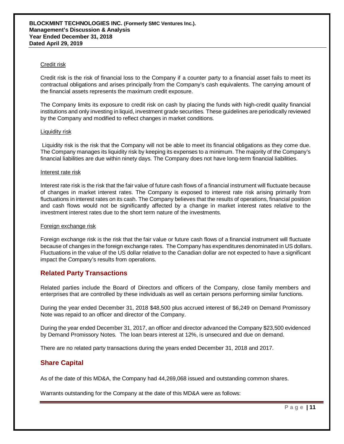#### Credit risk

Credit risk is the risk of financial loss to the Company if a counter party to a financial asset fails to meet its contractual obligations and arises principally from the Company's cash equivalents. The carrying amount of the financial assets represents the maximum credit exposure.

The Company limits its exposure to credit risk on cash by placing the funds with high-credit quality financial institutions and only investing in liquid, investment grade securities. These guidelines are periodically reviewed by the Company and modified to reflect changes in market conditions.

#### Liquidity risk

Liquidity risk is the risk that the Company will not be able to meet its financial obligations as they come due. The Company manages its liquidity risk by keeping its expenses to a minimum. The majority of the Company's financial liabilities are due within ninety days. The Company does not have long-term financial liabilities.

#### Interest rate risk

Interest rate risk is the risk that the fair value of future cash flows of a financial instrument will fluctuate because of changes in market interest rates. The Company is exposed to interest rate risk arising primarily from fluctuations in interest rates on its cash. The Company believes that the results of operations, financial position and cash flows would not be significantly affected by a change in market interest rates relative to the investment interest rates due to the short term nature of the investments.

#### Foreign exchange risk

Foreign exchange risk is the risk that the fair value or future cash flows of a financial instrument will fluctuate because of changes in the foreign exchange rates. The Company has expenditures denominated in US dollars. Fluctuations in the value of the US dollar relative to the Canadian dollar are not expected to have a significant impact the Company's results from operations.

## **Related Party Transactions**

Related parties include the Board of Directors and officers of the Company, close family members and enterprises that are controlled by these individuals as well as certain persons performing similar functions.

During the year ended December 31, 2018 \$48,500 plus accrued interest of \$6,249 on Demand Promissory Note was repaid to an officer and director of the Company.

During the year ended December 31, 2017, an officer and director advanced the Company \$23,500 evidenced by Demand Promissory Notes. The loan bears interest at 12%, is unsecured and due on demand.

There are no related party transactions during the years ended December 31, 2018 and 2017.

## **Share Capital**

As of the date of this MD&A, the Company had 44,269,068 issued and outstanding common shares.

Warrants outstanding for the Company at the date of this MD&A were as follows: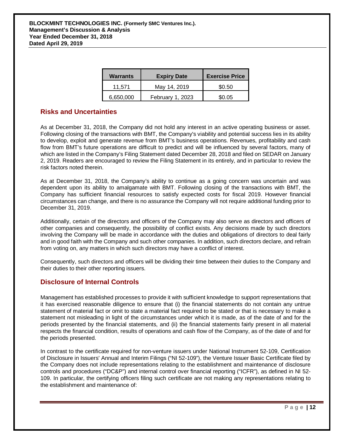| Warrants  | <b>Expiry Date</b> | <b>Exercise Price</b> |
|-----------|--------------------|-----------------------|
| 11.571    | May 14, 2019       | \$0.50                |
| 6,650,000 | February 1, 2023   | \$0.05                |

# **Risks and Uncertainties**

As at December 31, 2018, the Company did not hold any interest in an active operating business or asset. Following closing of the transactions with BMT, the Company's viability and potential success lies in its ability to develop, exploit and generate revenue from BMT's business operations. Revenues, profitability and cash flow from BMT's future operations are difficult to predict and will be influenced by several factors, many of which are listed in the Company's Filing Statement dated December 28, 2018 and filed on SEDAR on January 2, 2019. Readers are encouraged to review the Filing Statement in its entirely, and in particular to review the risk factors noted therein.

As at December 31, 2018, the Company's ability to continue as a going concern was uncertain and was dependent upon its ability to amalgamate with BMT. Following closing of the transactions with BMT, the Company has sufficient financial resources to satisfy expected costs for fiscal 2019. However financial circumstances can change, and there is no assurance the Company will not require additional funding prior to December 31, 2019.

Additionally, certain of the directors and officers of the Company may also serve as directors and officers of other companies and consequently, the possibility of conflict exists. Any decisions made by such directors involving the Company will be made in accordance with the duties and obligations of directors to deal fairly and in good faith with the Company and such other companies. In addition, such directors declare, and refrain from voting on, any matters in which such directors may have a conflict of interest.

Consequently, such directors and officers will be dividing their time between their duties to the Company and their duties to their other reporting issuers.

# **Disclosure of Internal Controls**

Management has established processes to provide it with sufficient knowledge to support representations that it has exercised reasonable diligence to ensure that (i) the financial statements do not contain any untrue statement of material fact or omit to state a material fact required to be stated or that is necessary to make a statement not misleading in light of the circumstances under which it is made, as of the date of and for the periods presented by the financial statements, and (ii) the financial statements fairly present in all material respects the financial condition, results of operations and cash flow of the Company, as of the date of and for the periods presented.

In contrast to the certificate required for non-venture issuers under National Instrument 52-109, Certification of Disclosure in Issuers' Annual and Interim Filings ("NI 52-109"), the Venture Issuer Basic Certificate filed by the Company does not include representations relating to the establishment and maintenance of disclosure controls and procedures ("DC&P") and internal control over financial reporting ("ICFR"), as defined in NI 52- 109. In particular, the certifying officers filing such certificate are not making any representations relating to the establishment and maintenance of: